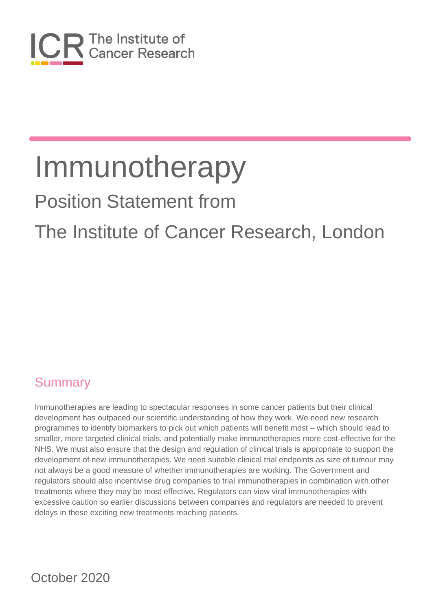

# Position Statement from

# The Institute of Cancer Research, London

#### **Summary**

Immunotherapies are leading to spectacular responses in some cancer patients but their clinical development has outpaced our scientific understanding of how they work. We need new research programmes to identify biomarkers to pick out which patients will benefit most – which should lead to smaller, more targeted clinical trials, and potentially make immunotherapies more cost-effective for the NHS. We must also ensure that the design and regulation of clinical trials is appropriate to support the development of new immunotherapies. We need suitable clinical trial endpoints as size of tumour may not always be a good measure of whether immunotherapies are working. The Government and regulators should also incentivise drug companies to trial immunotherapies in combination with other treatments where they may be most effective. Regulators can view viral immunotherapies with excessive caution so earlier discussions between companies and regulators are needed to prevent delays in these exciting new treatments reaching patients.

October 2020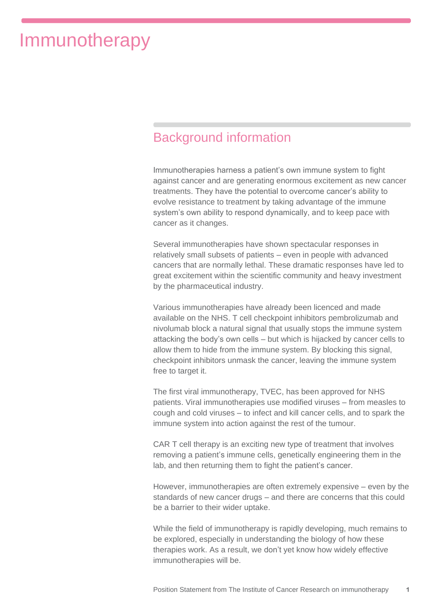#### Background information

Immunotherapies harness a patient's own immune system to fight against cancer and are generating enormous excitement as new cancer treatments. They have the potential to overcome cancer's ability to evolve resistance to treatment by taking advantage of the immune system's own ability to respond dynamically, and to keep pace with cancer as it changes.

Several immunotherapies have shown spectacular responses in relatively small subsets of patients – even in people with advanced cancers that are normally lethal. These dramatic responses have led to great excitement within the scientific community and heavy investment by the pharmaceutical industry.

Various immunotherapies have already been licenced and made available on the NHS. T cell checkpoint inhibitors pembrolizumab and nivolumab block a natural signal that usually stops the immune system attacking the body's own cells – but which is hijacked by cancer cells to allow them to hide from the immune system. By blocking this signal, checkpoint inhibitors unmask the cancer, leaving the immune system free to target it.

The first viral immunotherapy, TVEC, has been approved for NHS patients. Viral immunotherapies use modified viruses – from measles to cough and cold viruses – to infect and kill cancer cells, and to spark the immune system into action against the rest of the tumour.

CAR T cell therapy is an exciting new type of treatment that involves removing a patient's immune cells, genetically engineering them in the lab, and then returning them to fight the patient's cancer.

However, immunotherapies are often extremely expensive – even by the standards of new cancer drugs – and there are concerns that this could be a barrier to their wider uptake.

While the field of immunotherapy is rapidly developing, much remains to be explored, especially in understanding the biology of how these therapies work. As a result, we don't yet know how widely effective immunotherapies will be.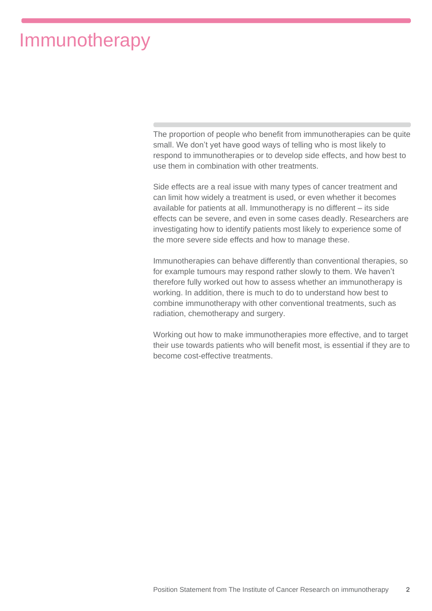The proportion of people who benefit from immunotherapies can be quite small. We don't yet have good ways of telling who is most likely to respond to immunotherapies or to develop side effects, and how best to use them in combination with other treatments.

Side effects are a real issue with many types of cancer treatment and can limit how widely a treatment is used, or even whether it becomes available for patients at all. Immunotherapy is no different – its side effects can be severe, and even in some cases deadly. Researchers are investigating how to identify patients most likely to experience some of the more severe side effects and how to manage these.

Immunotherapies can behave differently than conventional therapies, so for example tumours may respond rather slowly to them. We haven't therefore fully worked out how to assess whether an immunotherapy is working. In addition, there is much to do to understand how best to combine immunotherapy with other conventional treatments, such as radiation, chemotherapy and surgery.

Working out how to make immunotherapies more effective, and to target their use towards patients who will benefit most, is essential if they are to become cost-effective treatments.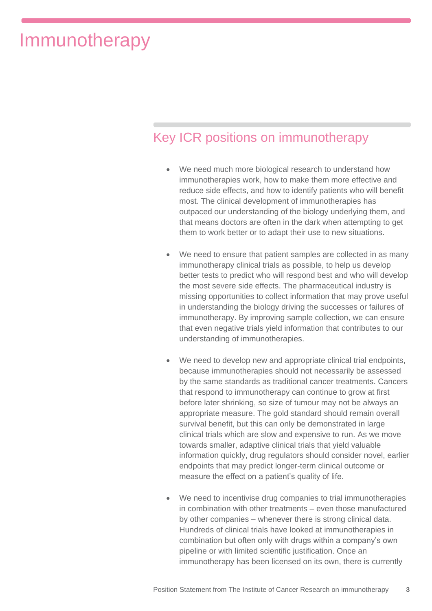#### Key ICR positions on immunotherapy

- We need much more biological research to understand how immunotherapies work, how to make them more effective and reduce side effects, and how to identify patients who will benefit most. The clinical development of immunotherapies has outpaced our understanding of the biology underlying them, and that means doctors are often in the dark when attempting to get them to work better or to adapt their use to new situations.
- We need to ensure that patient samples are collected in as many immunotherapy clinical trials as possible, to help us develop better tests to predict who will respond best and who will develop the most severe side effects. The pharmaceutical industry is missing opportunities to collect information that may prove useful in understanding the biology driving the successes or failures of immunotherapy. By improving sample collection, we can ensure that even negative trials yield information that contributes to our understanding of immunotherapies.
- We need to develop new and appropriate clinical trial endpoints, because immunotherapies should not necessarily be assessed by the same standards as traditional cancer treatments. Cancers that respond to immunotherapy can continue to grow at first before later shrinking, so size of tumour may not be always an appropriate measure. The gold standard should remain overall survival benefit, but this can only be demonstrated in large clinical trials which are slow and expensive to run. As we move towards smaller, adaptive clinical trials that yield valuable information quickly, drug regulators should consider novel, earlier endpoints that may predict longer-term clinical outcome or measure the effect on a patient's quality of life.
- We need to incentivise drug companies to trial immunotherapies in combination with other treatments – even those manufactured by other companies – whenever there is strong clinical data. Hundreds of clinical trials have looked at immunotherapies in combination but often only with drugs within a company's own pipeline or with limited scientific justification. Once an immunotherapy has been licensed on its own, there is currently